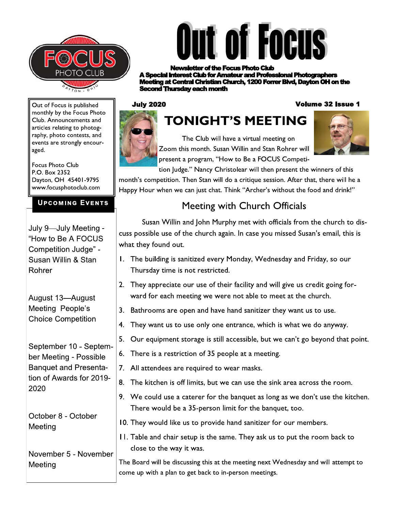



r of the Focus Photo Club **rest Club for Amateur and Professional Photographers ng at Central Christian Church, 1200 Forrer Blvd, Dayton OH on the** cond Thursday each month

#### **July 2020**

#### **Volume 32 Issue 1**

Out of Focus is published monthly by the Focus Photo Club. Announcements and articles relating to photography, photo contests, and events are strongly encouraged.

Focus Photo Club  $P.O.$  Box  $2352$ Dayton, OH 45401-9795 www.focusphotoclub.com

# UPCOMING EVENTS

| Dayton, OH 45401-9795<br>www.focusphotoclub.com                                                                      | month's competition.<br>Happy Hour when we                  |  |
|----------------------------------------------------------------------------------------------------------------------|-------------------------------------------------------------|--|
| <b>UPCOMING EVENTS</b>                                                                                               |                                                             |  |
| July 9-July Meeting -<br>"How to Be A FOCUS<br>Competition Judge" -                                                  | Susan Willin<br>cuss possible use of<br>what they found out |  |
| Susan Willin & Stan<br>Rohrer                                                                                        | The building is sa<br>Ι.<br>Thursday time is                |  |
| August 13-August<br>Meeting People's<br><b>Choice Competition</b>                                                    | 2.<br>They appreciate<br>ward for each m                    |  |
|                                                                                                                      | 3.<br>Bathrooms are o                                       |  |
|                                                                                                                      | 4.<br>They want us to                                       |  |
| September 10 - Septem-<br>ber Meeting - Possible<br><b>Banquet and Presenta-</b><br>tion of Awards for 2019-<br>2020 | 5.<br>Our equipment                                         |  |
|                                                                                                                      | 6.<br>There is a restri                                     |  |
|                                                                                                                      | All attendees are<br>$7_{\cdot}$                            |  |
|                                                                                                                      | The kitchen is of<br>8.                                     |  |
|                                                                                                                      | 9.<br>We could use a<br>There would be                      |  |
| October 8 - October<br>$M_{\odot}$ of in a                                                                           | 10. They would like                                         |  |

October 8 - October Meeting

# 8. The kitchen is<br>
2020<br>
October 8 - October<br>
Meeting<br>
November 5 - November<br>
Meeting<br>
Meeting<br>
Meeting<br>
Come up with a pla Meeting

# TONIGHT'S MEETING



The Club will have a virtual meeting on Zoom this month. Susan Willin and Stan Rohrer will present a program, "How to Be a FOCUS Competi-



tion Judge." Nancy Christolear will then present the winners of this

month's competition. Then Stan will do a critique session. After that, there will he a Happy Hour when we can just chat. Think "Archer's without the food and drink!"

# Meeting with Church Officials

Susan Willin and John Murphy met with officials from the church to diss possible use of the church again. In case you missed Susan's email, this is at they found out.

- The building is sanitized every Monday, Wednesday and Friday, so our Thursday time is not restricted.
- They appreciate our use of their facility and will give us credit going forward for each meeting we were not able to meet at the church.
- Bathrooms are open and have hand sanitizer they want us to use.
- They want us to use only one entrance, which is what we do anyway.

Our equipment storage is still accessible, but we can't go beyond that point.

- There is a restriction of 35 people at a meeting.
- All attendees are required to wear masks.
- The kitchen is off limits, but we can use the sink area across the room.
- 9. We could use a caterer for the banquet as long as we don't use the kitchen. There would be a 35-person limit for the banquet, too.
- 10. They would like us to provide hand sanitizer for our members.
	- 11. Table and chair setup is the same. They ask us to put the room back to close to the way it was.

The Board will be discussing this at the meeting next Wednesday and will attempt to come up with a plan to get back to in-person meetings.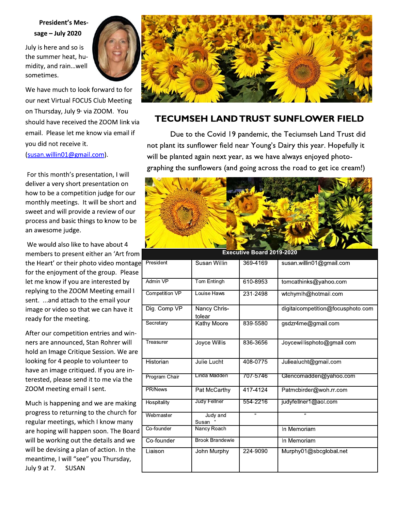# **President's Mes**sage  $-$  July 2020

July is here and so is the summer heat, humidity, and rain...well sometimes.



We have much to look forward to for our next Virtual FOCUS Club Meeting on Thursday, July 9<sup>®</sup> via ZOOM. You should have received the ZOOM link via email. Please let me know via email if you did not receive it.

(susan.willin01@gmail.com).

For this month's presentation, I will deliver a very short presentation on how to be a competition judge for our monthly meetings. It will be short and sweet and will provide a review of our process and basic things to know to be an awesome judge.

We would also like to have about 4 members to present either an 'Art from the Heart' or their photo video montage for the enjoyment of the group. Please let me know if you are interested by replying to the ZOOM Meeting email I sent. ... and attach to the email your image or video so that we can have it ready for the meeting.

After our competition entries and winners are announced, Stan Rohrer will hold an Image Critique Session. We are looking for 4 people to volunteer to have an image critiqued. If you are interested, please send it to me via the ZOOM meeting email I sent.

Much is happening and we are making progress to returning to the church for regular meetings, which I know many are hoping will happen soon. The Board will be working out the details and we will be devising a plan of action. In the meantime, I will "see" you Thursday, July 9 at 7. **SUSAN** 



# **TECUMSEH LAND TRUST SUNFLOWER FIELD**

Due to the Covid 19 pandemic, the Teciumseh Land Trust did not plant its sunflower field near Young's Dairy this year. Hopefully it will be planted again next year, as we have always enjoyed photographing the sunflowers (and going across the road to get ice cream!)



**Executive Board 2019-202** 

| President      | Susan Willin           | 369-4169 | susan.willin01@gmail.com          |
|----------------|------------------------|----------|-----------------------------------|
| Admin VP       | Tom Entingh            | 610-8953 | tomcathinks@yahoo.com             |
| Competition VP | Louise Haws            | 231-2498 | wtchymlh@hotmail.com              |
| Dig. Comp VP   | Nancy Chris-<br>tolear |          | digitalcompetition@focusphoto.com |
| Secretary      | <b>Kathy Moore</b>     | 839-5580 | gsdzr4me@gmail.com                |
| Treasurer      | Joyce Willis           | 836-3656 | Joycewillisphoto@gmail.com        |
| Historian      | Julie Lucht            | 408-0775 | Juliealucht@gmail.com             |
| Program Chair  | Linda Madden           | 707-5746 | Glencomadden@yahoo.com            |
| PR/News        | Pat McCarthy           | 417-4124 | Patmcbirder@woh.rr.com            |
| Hospitality    | Judy Fellner           | 554-2216 | judyfellner1@aol.com              |
| Webmaster      | Judy and<br>Susan      | <b>u</b> | $\overline{\mathbf{a}}$           |
| Co-founder     | Nancy Roach            |          | In Memoriam                       |
| Co-founder     | <b>Brook Brandewie</b> |          | In Memoriam                       |
| Liaison        | John Murphy            | 224-9090 | Murphy01@sbcglobal.net            |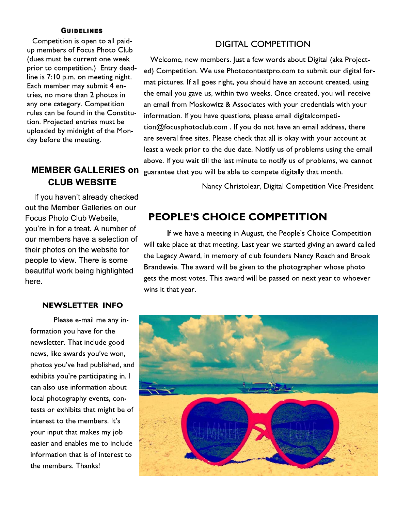#### **GUIDELINES**

Competition is open to all paidup members of Focus Photo Club (dues must be current one week prior to competition.) Entry deadline is 7:10 p.m. on meeting night. Each member may submit 4 entries, no more than 2 photos in any one category. Competition rules can be found in the Constitution. Projected entries must be uploaded by midnight of the Monday before the meeting.

# **MEMBER GALLERIES on CLUB WEBSITE**

If you haven't already checked out the Member Galleries on our Focus Photo Club Website. you're in for a treat. A number of our members have a selection of their photos on the website for people to view. There is some beautiful work being highlighted here.

#### **NEWSLETTER INFO**

Please e-mail me any information you have for the newsletter. That include good news, like awards you've won, photos you've had published, and exhibits you're participating in. I can also use information about local photography events, contests or exhibits that might be of interest to the members. It's your input that makes my job easier and enables me to include information that is of interest to the members. Thanks!

## **DIGITAL COMPETITION**

Welcome, new members. Just a few words about Digital (aka Projected) Competition. We use Photocontestpro.com to submit our digital format pictures. If all goes right, you should have an account created, using the email you gave us, within two weeks. Once created, you will receive an email from Moskowitz & Associates with your credentials with your information. If you have questions, please email digitalcompetition@focusphotoclub.com. If you do not have an email address, there are several free sites. Please check that all is okay with your account at least a week prior to the due date. Notify us of problems using the email above. If you wait till the last minute to notify us of problems, we cannot guarantee that you will be able to compete digitally that month.

Nancy Christolear, Digital Competition Vice-President

# **PEOPLE'S CHOICE COMPETITION**

If we have a meeting in August, the People's Choice Competition will take place at that meeting. Last year we started giving an award called the Legacy Award, in memory of club founders Nancy Roach and Brook Brandewie. The award will be given to the photographer whose photo gets the most votes. This award will be passed on next year to whoever wins it that year.